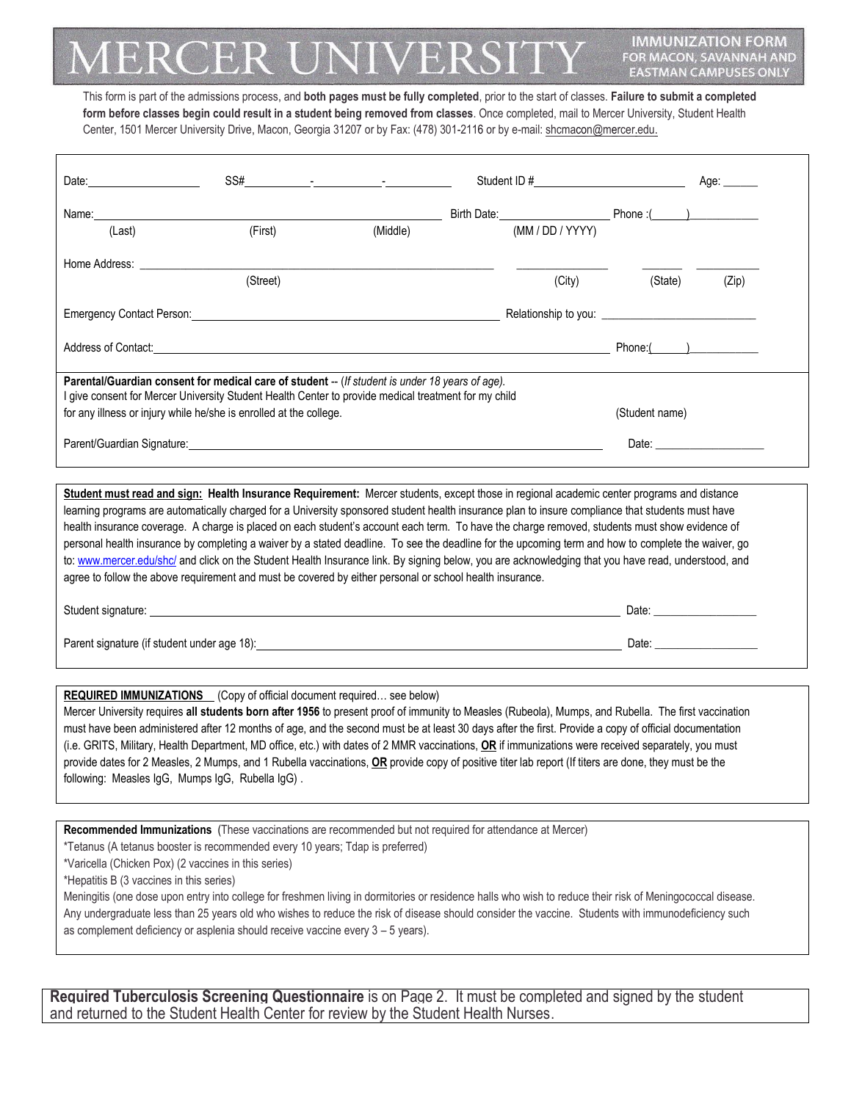## E.RC B 'ER  $\sqrt{1}$

This form is part of the admissions process, and **both pages must be fully completed**, prior to the start of classes. **Failure to submit a completed form before classes begin could result in a student being removed from classes**. Once completed, mail to Mercer University, Student Health Center, 1501 Mercer University Drive, Macon, Georgia 31207 or by Fax: (478) 301-2116 or by e-mail[: shcmacon@mercer.edu.](mailto:shcmacon@mercer.edu.)

| Date: and the contract of the contract of the contract of the contract of the contract of the contract of the contract of the contract of the contract of the contract of the contract of the contract of the contract of the                                                                                                                                                                                                                                                                                                                                                                                                                                                                                                                                    | Student ID # |                                                                                                                      |                | Age: _____         |  |
|------------------------------------------------------------------------------------------------------------------------------------------------------------------------------------------------------------------------------------------------------------------------------------------------------------------------------------------------------------------------------------------------------------------------------------------------------------------------------------------------------------------------------------------------------------------------------------------------------------------------------------------------------------------------------------------------------------------------------------------------------------------|--------------|----------------------------------------------------------------------------------------------------------------------|----------------|--------------------|--|
| Name:                                                                                                                                                                                                                                                                                                                                                                                                                                                                                                                                                                                                                                                                                                                                                            |              | example of the Date: Example 2014 and Date: Example 2014 and Date: Let up the 2014 and 2014 and 2014 and 2014 and 20 |                |                    |  |
| (First)<br>(Middle)<br>(Last)                                                                                                                                                                                                                                                                                                                                                                                                                                                                                                                                                                                                                                                                                                                                    |              | (MM / DD / YYYY)                                                                                                     |                |                    |  |
| Home Address:<br>(Street)                                                                                                                                                                                                                                                                                                                                                                                                                                                                                                                                                                                                                                                                                                                                        |              | (City)                                                                                                               | (State)        | (Zip)              |  |
| Emergency Contact Person: <u>entitled and the control of the control of the control of the control of the control of</u>                                                                                                                                                                                                                                                                                                                                                                                                                                                                                                                                                                                                                                         |              |                                                                                                                      |                |                    |  |
|                                                                                                                                                                                                                                                                                                                                                                                                                                                                                                                                                                                                                                                                                                                                                                  |              |                                                                                                                      |                |                    |  |
| Parental/Guardian consent for medical care of student -- (If student is under 18 years of age).<br>I give consent for Mercer University Student Health Center to provide medical treatment for my child                                                                                                                                                                                                                                                                                                                                                                                                                                                                                                                                                          |              |                                                                                                                      |                |                    |  |
| for any illness or injury while he/she is enrolled at the college.                                                                                                                                                                                                                                                                                                                                                                                                                                                                                                                                                                                                                                                                                               |              |                                                                                                                      | (Student name) |                    |  |
|                                                                                                                                                                                                                                                                                                                                                                                                                                                                                                                                                                                                                                                                                                                                                                  |              |                                                                                                                      |                | Date: <u>Date:</u> |  |
| Student must read and sign: Health Insurance Requirement: Mercer students, except those in regional academic center programs and distance                                                                                                                                                                                                                                                                                                                                                                                                                                                                                                                                                                                                                        |              |                                                                                                                      |                |                    |  |
| learning programs are automatically charged for a University sponsored student health insurance plan to insure compliance that students must have<br>health insurance coverage. A charge is placed on each student's account each term. To have the charge removed, students must show evidence of<br>personal health insurance by completing a waiver by a stated deadline. To see the deadline for the upcoming term and how to complete the waiver, go<br>to: www.mercer.edu/shc/ and click on the Student Health Insurance link. By signing below, you are acknowledging that you have read, understood, and<br>agree to follow the above requirement and must be covered by either personal or school health insurance.                                     |              |                                                                                                                      |                |                    |  |
| Parent signature (if student under age 18): entitled and the state of the state of the state of the state of the state of the state of the state of the state of the state of the state of the state of the state of the state                                                                                                                                                                                                                                                                                                                                                                                                                                                                                                                                   |              |                                                                                                                      |                |                    |  |
|                                                                                                                                                                                                                                                                                                                                                                                                                                                                                                                                                                                                                                                                                                                                                                  |              |                                                                                                                      |                |                    |  |
| <b>REQUIRED IMMUNIZATIONS</b> (Copy of official document required see below)<br>Mercer University requires all students born after 1956 to present proof of immunity to Measles (Rubeola), Mumps, and Rubella. The first vaccination<br>must have been administered after 12 months of age, and the second must be at least 30 days after the first. Provide a copy of official documentation<br>(i.e. GRITS, Military, Health Department, MD office, etc.) with dates of 2 MMR vaccinations, OR if immunizations were received separately, you must<br>provide dates for 2 Measles, 2 Mumps, and 1 Rubella vaccinations, OR provide copy of positive titer lab report (If titers are done, they must be the<br>following: Measles IgG, Mumps IgG, Rubella IgG). |              |                                                                                                                      |                |                    |  |
|                                                                                                                                                                                                                                                                                                                                                                                                                                                                                                                                                                                                                                                                                                                                                                  |              |                                                                                                                      |                |                    |  |
| Recommended Immunizations (These vaccinations are recommended but not required for attendance at Mercer)<br>*Tetanus (A tetanus booster is recommended every 10 years; Tdap is preferred)<br>*Varicella (Chicken Pox) (2 vaccines in this series)<br>*Hepatitis B (3 vaccines in this series)<br>Meningitis (one dose upon entry into college for freshmen living in dormitories or residence halls who wish to reduce their risk of Meningococcal disease.<br>Any undergraduate less than 25 years old who wishes to reduce the risk of disease should consider the vaccine. Students with immunodeficiency such<br>as complement deficiency or asplenia should receive vaccine every 3 - 5 years).                                                             |              |                                                                                                                      |                |                    |  |

**Required Tuberculosis Screening Questionnaire** is on Page 2. It must be completed and signed by the student and returned to the Student Health Center for review by the Student Health Nurses.